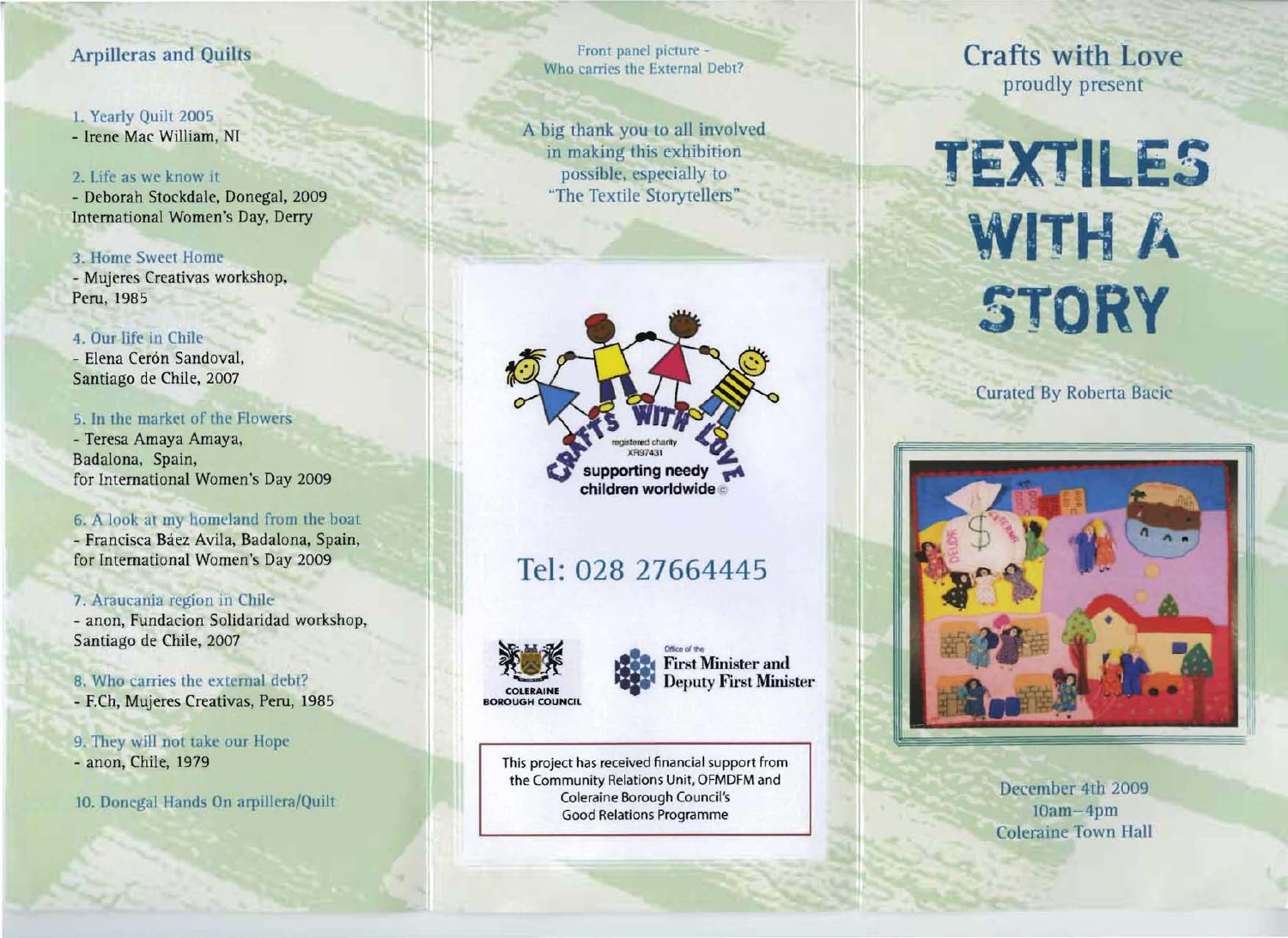# Arpilleras and Quilts

### 1. Yearly Quilt 2005

- Irene Mac William, NI

#### 2. Life as we know it

- Deborah Stockdale, Donegal, 2009 International Women's Day, Derry

# 3. Home Sweet Home

- Mujeres Creativas workshop, Peru, 1985

# 4. Our life in Chile

- Elena Cerón Sandoval, Santiago de Chile, 2007

# 5. In the market of the Flowers

- Teresa Amaya Amaya, Badalona, Spain, for International Women's Day 2009

# 6. A look at my homeland from the boat

- Francisca Báez Avila, Badalona, Spain, for International Women's Day 2009

# 7. Araucania region in Chile

- anon, Fundacion Solidaridad workshop, Santiago de Chile, 2007

# 8. Who carries the external debt?

- F.Ch, Mujeres Creativas, Peru, 1985

### 9. They will not take our Hope - anon, Chile, 1979

10. Donegal Hands On arpillera/Quilt

Front panel picture -Who carries the External Debt?

A big thank you to all involved in making this exhibition possible. especially to "The Textile Storytellers"



# Tel: 028 27664445





This project has received financial support from the Community Relations Unit, OFMDFM and Coleraine Borough Council's Good Relations Programme

Crafts with Love proudly present

# **TEXTILES WITH A STORY**

Curated By Roberta Baric



December 4th 2009 lOam-4pm Coleraine Town Hall